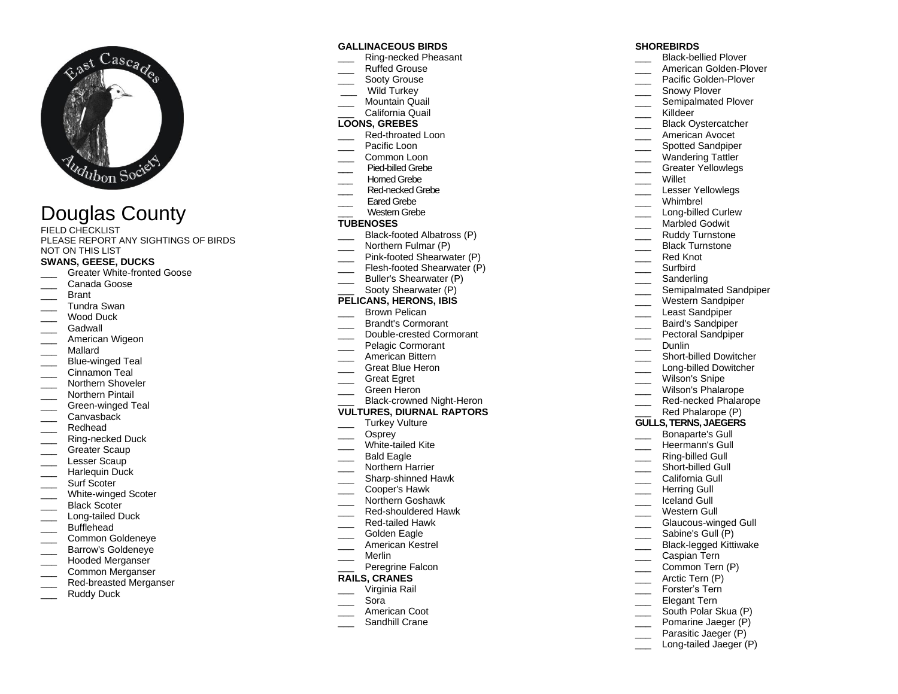

# Douglas County

FIELD CHECKLIST PLEASE REPORT ANY SIGHTINGS OF BIRDS NOT ON THIS LIST

## **SWANS, GEESE, DUCKS**

- Greater White-fronted Goose
- Canada Goose
- **Brant**
- \_\_\_ Tundra Swan
- Wood Duck
- Gadwall
- American Wigeon
- \_\_\_ Mallard
- Blue-winged Teal
- Cinnamon Teal
- Northern Shoveler
- Northern Pintail
- Green-winged Teal
- Canvasback
- Redhead
- Ring-necked Duck
- Greater Scaup
- Lesser Scaup
- Harlequin Duck
- Surf Scoter
- White-winged Scoter
- Black Scoter
- Long-tailed Duck
- 
- \_\_\_ Bufflehead
- \_\_\_ Common Goldeneye Barrow's Goldeneye
- Hooded Merganser
- \_\_\_ Common Merganser
- Red-breasted Merganser
- Ruddy Duck
- 

## **GALLINACEOUS BIRDS**

- \_\_\_ Ring-necked Pheasant
- \_\_\_ Ruffed Grouse
- Sooty Grouse
- Wild Turkey
- Mountain Quail
- \_\_\_ California Quail

# **LOONS, GREBES**

- Red-throated Loon
- Pacific Loon
- Common Loon
- \_\_\_Pied-billed Grebe
- Homed Grebe
- Red-necked Grebe
- Fared Grebe
- Western Grebe

## **TUBENOSES**

- Black-footed Albatross (P)
- Northern Fulmar (P)
- Pink-footed Shearwater (P)
- \_\_\_ Flesh-footed Shearwater (P)
- Buller's Shearwater (P)

# Sooty Shearwater (P)

## **PELICANS, HERONS, IBIS**

- Brown Pelican
- \_\_\_ Brandt's Cormorant
- \_\_\_ Double-crested Cormorant
- Pelagic Cormorant
- American Bittern
- \_\_\_ Great Blue Heron
- \_\_\_ Great Egret
- \_\_\_ Green Heron
- Black-crowned Night-Heron

#### **VULTURES, DIURNAL RAPTORS**

- Turkey Vulture
- Osprey
- White-tailed Kite
- Bald Eagle
- Northern Harrier
- \_\_\_ Sharp-shinned Hawk
- \_\_\_ Cooper's Hawk
- \_\_\_ Northern Goshawk
- \_\_\_ Red-shouldered Hawk
- \_\_\_ Red-tailed Hawk
- Golden Eagle
- \_\_\_ American Kestrel
- \_\_\_ Merlin
- Peregrine Falcon
- **RAILS, CRANES**
- \_\_\_ Virginia Rail
- \_\_\_ Sora
- American Coot
- Sandhill Crane

## **SHOREBIRDS**

- \_\_\_ Black-bellied Plover
- American Golden-Plover
- Pacific Golden-Plover
- Snowy Plover
- \_\_\_ Semipalmated Plover
- \_\_\_ Killdeer
- Black Ovstercatcher
- American Avocet
- Spotted Sandpiper
- \_\_\_ Wandering Tattler
- \_\_\_ Greater Yellowlegs Willet

Dunlin

\_\_\_ Wilson's Snipe

Lesser Yellowlegs Whimbrel \_\_\_ Long-billed Curlew Marbled Godwit Ruddy Turnstone Black Turnstone Red Knot \_\_\_ Surfbird Sanderling

Semipalmated Sandpiper Western Sandpiper Least Sandpiper \_\_\_ Baird's Sandpiper Pectoral Sandpiper

> Short-billed Dowitcher Long-billed Dowitcher

Wilson's Phalarope Red-necked Phalarope Red Phalarope (P) **GULLS, TERNS, JAEGERS** Bonaparte's Gull Heermann's Gull Ring-billed Gull Short-billed Gull California Gull \_\_\_\_ Herring Gull \_\_\_ Iceland Gull Western Gull

Glaucous-winged Gull Sabine's Gull (P) \_\_\_ Black-legged Kittiwake Caspian Tern Common Tern (P) Arctic Tern (P) Forster's Tern Elegant Tern South Polar Skua (P) Pomarine Jaeger (P) Parasitic Jaeger (P) Long-tailed Jaeger (P)